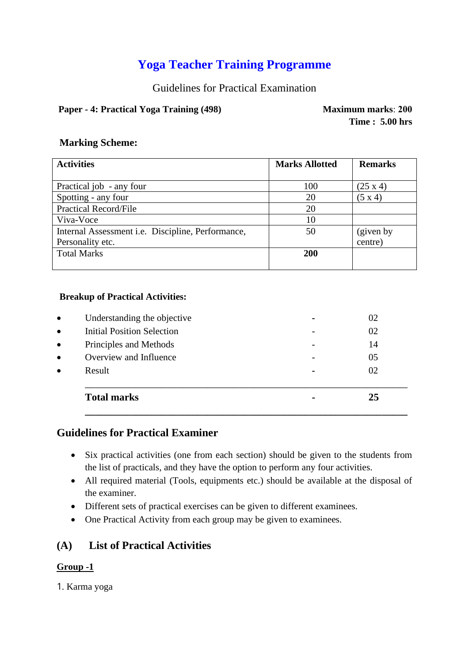# **Yoga Teacher Training Programme**

Guidelines for Practical Examination

# **Paper - 4: Practical Yoga Training (498)** Maximum marks: 200

**Time : 5.00 hrs**

## **Marking Scheme:**

| <b>Activities</b>                                 | <b>Marks Allotted</b> | <b>Remarks</b>  |
|---------------------------------------------------|-----------------------|-----------------|
|                                                   |                       |                 |
| Practical job - any four                          | 100                   | $(25 \times 4)$ |
| Spotting - any four                               | 20                    | $(5 \times 4)$  |
| <b>Practical Record/File</b>                      | 20                    |                 |
| Viva-Voce                                         | 10                    |                 |
| Internal Assessment i.e. Discipline, Performance, | 50                    | (given by       |
| Personality etc.                                  |                       | centre)         |
| <b>Total Marks</b>                                | <b>200</b>            |                 |
|                                                   |                       |                 |

#### **Breakup of Practical Activities:**

| <b>Total marks</b>                |                | 25 |
|-----------------------------------|----------------|----|
| Result                            | $\blacksquare$ | 02 |
| Overview and Influence            |                | 05 |
| Principles and Methods            |                | 14 |
| <b>Initial Position Selection</b> |                | 02 |
| Understanding the objective       |                | 02 |

# **Guidelines for Practical Examiner**

- Six practical activities (one from each section) should be given to the students from the list of practicals, and they have the option to perform any four activities.
- All required material (Tools, equipments etc.) should be available at the disposal of the examiner.
- Different sets of practical exercises can be given to different examinees.
- One Practical Activity from each group may be given to examinees.

# **(A) List of Practical Activities**

#### **Group -1**

1. Karma yoga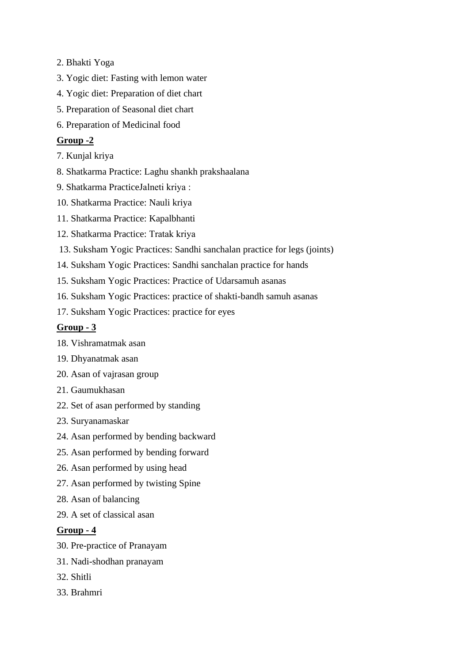- 2. Bhakti Yoga
- 3. Yogic diet: Fasting with lemon water
- 4. Yogic diet: Preparation of diet chart
- 5. Preparation of Seasonal diet chart
- 6. Preparation of Medicinal food

#### **Group -2**

- 7. Kunjal kriya
- 8. Shatkarma Practice: Laghu shankh prakshaalana
- 9. Shatkarma PracticeJalneti kriya :
- 10. Shatkarma Practice: Nauli kriya
- 11. Shatkarma Practice: Kapalbhanti
- 12. Shatkarma Practice: Tratak kriya
- 13. Suksham Yogic Practices: Sandhi sanchalan practice for legs (joints)
- 14. Suksham Yogic Practices: Sandhi sanchalan practice for hands
- 15. Suksham Yogic Practices: Practice of Udarsamuh asanas
- 16. Suksham Yogic Practices: practice of shakti-bandh samuh asanas
- 17. Suksham Yogic Practices: practice for eyes

### **Group - 3**

- 18. Vishramatmak asan
- 19. Dhyanatmak asan
- 20. Asan of vajrasan group
- 21. Gaumukhasan
- 22. Set of asan performed by standing
- 23. Suryanamaskar
- 24. Asan performed by bending backward
- 25. Asan performed by bending forward
- 26. Asan performed by using head
- 27. Asan performed by twisting Spine
- 28. Asan of balancing
- 29. A set of classical asan

#### **Group - 4**

- 30. Pre-practice of Pranayam
- 31. Nadi-shodhan pranayam
- 32. Shitli
- 33. Brahmri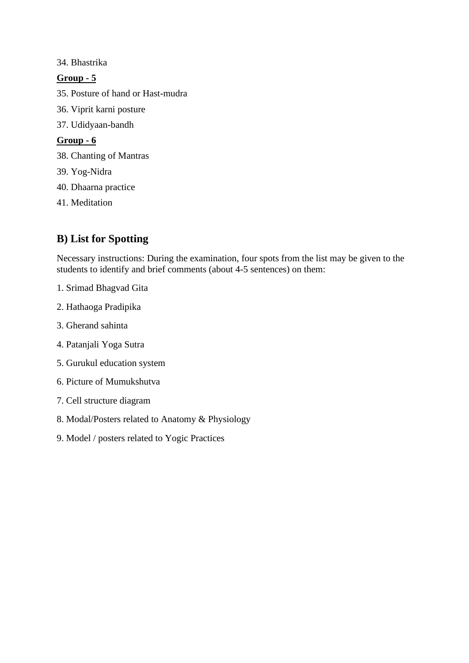#### 34. Bhastrika

## **Group - 5**

- 35. Posture of hand or Hast-mudra
- 36. Viprit karni posture
- 37. Udidyaan-bandh

#### **Group - 6**

- 38. Chanting of Mantras
- 39. Yog-Nidra
- 40. Dhaarna practice
- 41. Meditation

# **B) List for Spotting**

Necessary instructions: During the examination, four spots from the list may be given to the students to identify and brief comments (about 4-5 sentences) on them:

- 1. Srimad Bhagvad Gita
- 2. Hathaoga Pradipika
- 3. Gherand sahinta
- 4. Patanjali Yoga Sutra
- 5. Gurukul education system
- 6. Picture of Mumukshutva
- 7. Cell structure diagram
- 8. Modal/Posters related to Anatomy & Physiology
- 9. Model / posters related to Yogic Practices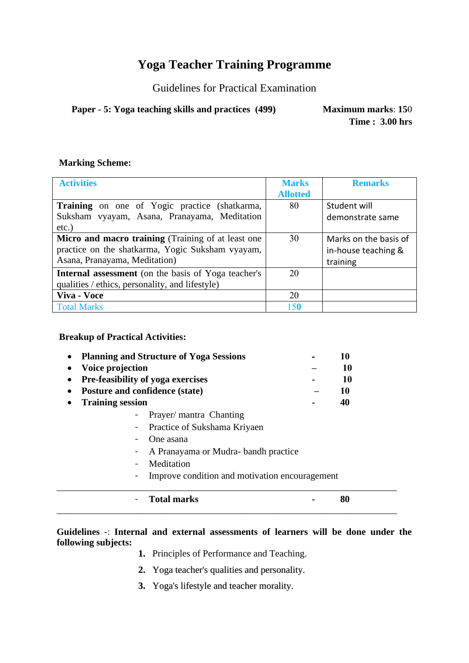# **Yoga Teacher Training Programme**

Guidelines for Practical Examination

**Paper - 5: Yoga teaching skills and practices (499) Maximum marks**: **15**0

**Time : 3.00 hrs**

#### **Marking Scheme:**

| <b>Activities</b>                                          | <b>Marks</b>    | <b>Remarks</b>        |
|------------------------------------------------------------|-----------------|-----------------------|
|                                                            | <b>Allotted</b> |                       |
| <b>Training</b> on one of Yogic practice (shatkarma,       | 80              | Student will          |
| Suksham vyayam, Asana, Pranayama, Meditation               |                 | demonstrate same      |
| $etc.$ )                                                   |                 |                       |
| Micro and macro training (Training of at least one         | 30              | Marks on the basis of |
| practice on the shatkarma, Yogic Suksham vyayam,           |                 | in-house teaching &   |
| Asana, Pranayama, Meditation)                              |                 | training              |
| <b>Internal assessment</b> (on the basis of Yoga teacher's | 20              |                       |
| qualities / ethics, personality, and lifestyle)            |                 |                       |
| Viva - Voce                                                | 20              |                       |
| <b>Total Marks</b>                                         | 150             |                       |

#### **Breakup of Practical Activities:**

| $\bullet$ | <b>Planning and Structure of Yoga Sessions</b> | 10 |
|-----------|------------------------------------------------|----|
|           | • Voice projection                             | 10 |
|           | • Pre-feasibility of yoga exercises            | 10 |
| $\bullet$ | Posture and confidence (state)                 | 10 |
|           | • Training session                             | 40 |
|           | - Prayer/mantra Chanting                       |    |

- Practice of Sukshama Kriyaen
- One asana
- A Pranayama or Mudra- bandh practice
- Meditation
- Improve condition and motivation encouragement

\_\_\_\_\_\_\_\_\_\_\_\_\_\_\_\_\_\_\_\_\_\_\_\_\_\_\_\_\_\_\_\_\_\_\_\_\_\_\_\_\_\_\_\_\_\_\_\_\_\_\_\_\_\_\_\_\_\_\_\_\_\_\_\_\_\_\_\_\_\_\_\_

# - **Total marks - 80** \_\_\_\_\_\_\_\_\_\_\_\_\_\_\_\_\_\_\_\_\_\_\_\_\_\_\_\_\_\_\_\_\_\_\_\_\_\_\_\_\_\_\_\_\_\_\_\_\_\_\_\_\_\_\_\_\_\_\_\_\_\_\_\_\_\_\_\_\_\_\_\_

#### **Guidelines** -: **Internal and external assessments of learners will be done under the following subjects:**

- **1.** Principles of Performance and Teaching.
- **2.** Yoga teacher's qualities and personality.
- **3.** Yoga's lifestyle and teacher morality.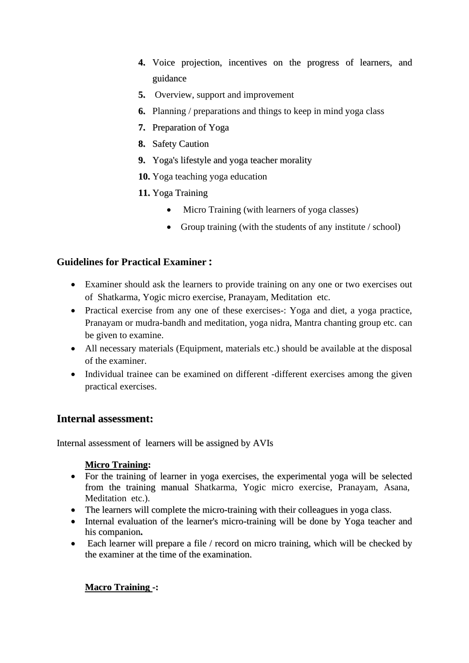- **4.** Voice projection, incentives on the progress of learners, and guidance
- **5.** Overview, support and improvement
- **6.** Planning / preparations and things to keep in mind yoga class
- **7.** Preparation of Yoga
- **8.** Safety Caution
- **9.** Yoga's lifestyle and yoga teacher morality
- **10.** Yoga teaching yoga education
- **11.** Yoga Training
	- Micro Training (with learners of yoga classes)
	- Group training (with the students of any institute / school)

## **Guidelines for Practical Examiner :**

- Examiner should ask the learners to provide training on any one or two exercises out of Shatkarma, Yogic micro exercise, Pranayam, Meditation etc.
- Practical exercise from any one of these exercises -: Yoga and diet, a yoga practice, Pranayam or mudra-bandh and meditation, yoga nidra, Mantra chanting group etc. can be given to examine.
- All necessary materials (Equipment, materials etc.) should be available at the disposal of the examiner.
- Individual trainee can be examined on different -different exercises among the given practical exercises.

# **Internal assessment:**

Internal assessment of learners will be assigned by AVIs

#### **Micro Training:**

- For the training of learner in yoga exercises, the experimental yoga will be selected from the training manual Shatkarma, Yogic micro exercise, Pranayam, Asana, Meditation etc.).
- The learners will complete the micro-training with their colleagues in yoga class.
- Internal evaluation of the learner's micro-training will be done by Yoga teacher and his companion**.**
- Each learner will prepare a file / record on micro training, which will be checked by the examiner at the time of the examination.

#### **Macro Training -:**